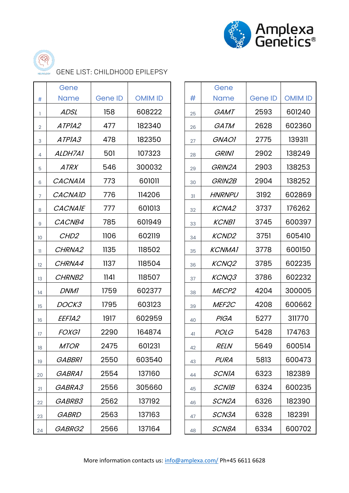



GENE LIST: CHILDHOOD EPILEPSY

|                | Gene               |                |                |    | Gene               |                |                |
|----------------|--------------------|----------------|----------------|----|--------------------|----------------|----------------|
| $\#$           | <b>Name</b>        | <b>Gene ID</b> | <b>OMIM ID</b> | #  | <b>Name</b>        | <b>Gene ID</b> | <b>OMIM ID</b> |
| ı.             | <b>ADSL</b>        | 158            | 608222         | 25 | <b>GAMT</b>        | 2593           | 601240         |
| $\overline{2}$ | ATPIA2             | 477            | 182340         | 26 | GATM               | 2628           | 602360         |
| 3              | ATPIA3             | 478            | 182350         | 27 | <b>GNAOI</b>       | 2775           | 139311         |
| 4              | ALDH7A1            | 501            | 107323         | 28 | <b>GRINI</b>       | 2902           | 138249         |
| $\overline{5}$ | <b>ATRX</b>        | 546            | 300032         | 29 | GRIN2A             | 2903           | 138253         |
| 6              | <b>CACNAIA</b>     | 773            | 601011         | 30 | GRIN2B             | 2904           | 138252         |
| $\overline{7}$ | <b>CACNAID</b>     | 776            | 114206         | 31 | <b>HNRNPU</b>      | 3192           | 602869         |
| 8              | <b>CACNAIE</b>     | 777            | 601013         | 32 | <b>KCNA2</b>       | 3737           | 176262         |
| $\overline{9}$ | CACNB4             | 785            | 601949         | 33 | <b>KCNB1</b>       | 3745           | 600397         |
| 10             | CHD <sub>2</sub>   | 1106           | 602119         | 34 | <b>KCND2</b>       | 3751           | 605410         |
| $\mathbf{H}$   | CHRNA2             | 1135           | 118502         | 35 | <b>KCNMA1</b>      | 3778           | 600150         |
| 12             | CHRNA4             | 1137           | 118504         | 36 | <b>KCNQ2</b>       | 3785           | 602235         |
| 13             | CHRNB <sub>2</sub> | 1141           | 118507         | 37 | KCNQ3              | 3786           | 602232         |
| 14             | <b>DNM1</b>        | 1759           | 602377         | 38 | MECP <sub>2</sub>  | 4204           | 300005         |
| 15             | DOCK3              | 1795           | 603123         | 39 | MEF <sub>2C</sub>  | 4208           | 600662         |
| 16             | <i>EEFIA2</i>      | 1917           | 602959         | 40 | <b>PIGA</b>        | 5277           | 311770         |
| 17             | <b>FOXGI</b>       | 2290           | 164874         | 41 | <b>POLG</b>        | 5428           | 174763         |
| 18             | <b>MTOR</b>        | 2475           | 601231         | 42 | <b>RELN</b>        | 5649           | 600514         |
| 19             | <b>GABBRI</b>      | 2550           | 603540         | 43 | <b>PURA</b>        | 5813           | 600473         |
| 20             | GABRA1             | 2554           | 137160         | 44 | <b>SCNIA</b>       | 6323           | 182389         |
| 21             | GABRA3             | 2556           | 305660         | 45 | <b>SCNIB</b>       | 6324           | 600235         |
| 22             | GABRB3             | 2562           | 137192         | 46 | SCN <sub>2</sub> A | 6326           | 182390         |
| 23             | <b>GABRD</b>       | 2563           | 137163         | 47 | SCN3A              | 6328           | 182391         |
| 24             | GABRG2             | 2566           | 137164         | 48 | SCN8A              | 6334           | 600702         |

|    | Gene              |                |                |  |
|----|-------------------|----------------|----------------|--|
| #  | Name              | <b>Gene ID</b> | <b>OMIM ID</b> |  |
| 25 | <i>GAMT</i>       | 2593           | 601240         |  |
| 26 | <i>GATM</i>       | 2628           | 602360         |  |
| 27 | <b>GNAOI</b>      | 2775           | 139311         |  |
| 28 | <b>GRINI</b>      | 2902           | 138249         |  |
| 29 | GRIN2A            | 2903           | 138253         |  |
| 30 | <b>GRIN2B</b>     | 2904           | 138252         |  |
| 31 | <i>HNRNPU</i>     | 3192           | 602869         |  |
| 32 | <b>KCNA2</b>      | 3737           | 176262         |  |
| 33 | <b>KCNBI</b>      | 3745           | 600397         |  |
| 34 | <b>KCND2</b>      | 3751           | 605410         |  |
| 35 | <b>KCNMA1</b>     | 3778           | 600150         |  |
| 36 | <b>KCNQ2</b>      | 3785           | 602235         |  |
| 37 | KCNQ3             | 3786           | 602232         |  |
| 38 | MECP <sub>2</sub> | 4204           | 300005         |  |
| 39 | MEF2C             | 4208           | 600662         |  |
| 40 | PIGA              | 5277           | 311770         |  |
| 41 | <i>POLG</i>       | 5428           | 174763         |  |
| 42 | <i>RELN</i>       | 5649           | 600514         |  |
| 43 | PURA              | 5813           | 600473         |  |
| 44 | <b>SCNIA</b>      | 6323           | 182389         |  |
| 45 | <b>SCNIB</b>      | 6324           | 600235         |  |
| 46 | SCN2A             | 6326           | 182390         |  |
| 47 | <i>SCN3A</i>      | 6328           | 182391         |  |
| 48 | <i>SCN8A</i>      | 6334           | 600702         |  |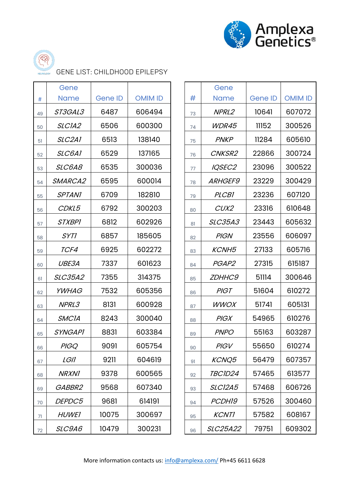



GENE LIST: CHILDHOOD EPILEPSY

|    | Gene               |                |                |    | Gene           |         |                |
|----|--------------------|----------------|----------------|----|----------------|---------|----------------|
| #  | <b>Name</b>        | <b>Gene ID</b> | <b>OMIM ID</b> | #  | <b>Name</b>    | Gene ID | <b>OMIM ID</b> |
| 49 | ST3GAL3            | 6487           | 606494         | 73 | NPRL2          | 10641   | 607072         |
| 50 | SLCIA2             | 6506           | 600300         | 74 | WDR45          | 11152   | 300526         |
| 51 | SLC <sub>2A1</sub> | 6513           | 138140         | 75 | <b>PNKP</b>    | 11284   | 605610         |
| 52 | SLC6A1             | 6529           | 137165         | 76 | CNKSR2         | 22866   | 300724         |
| 53 | SLC6A8             | 6535           | 300036         | 77 | IQSEC2         | 23096   | 300522         |
| 54 | SMARCA2            | 6595           | 600014         | 78 | <b>ARHGEF9</b> | 23229   | 300429         |
| 55 | <b>SPTANI</b>      | 6709           | 182810         | 79 | <b>PLCB1</b>   | 23236   | 607120         |
| 56 | CDKL5              | 6792           | 300203         | 80 | CUX2           | 23316   | 610648         |
| 57 | <b>STXBPI</b>      | 6812           | 602926         | 81 | <b>SLC35A3</b> | 23443   | 605632         |
| 58 | <b>SYTI</b>        | 6857           | 185605         | 82 | <b>PIGN</b>    | 23556   | 606097         |
| 59 | TCF4               | 6925           | 602272         | 83 | <b>KCNH5</b>   | 27133   | 605716         |
| 60 | UBE3A              | 7337           | 601623         | 84 | PGAP2          | 27315   | 615187         |
| 61 | <b>SLC35A2</b>     | 7355           | 314375         | 85 | <b>ZDHHC9</b>  | 51114   | 300646         |
| 62 | <b>YWHAG</b>       | 7532           | 605356         | 86 | <b>PIGT</b>    | 51604   | 610272         |
| 63 | NPRL3              | 8131           | 600928         | 87 | <b>WWOX</b>    | 51741   | 605131         |
| 64 | <b>SMCIA</b>       | 8243           | 300040         | 88 | <b>PIGX</b>    | 54965   | 610276         |
| 65 | <b>SYNGAPI</b>     | 8831           | 603384         | 89 | <b>PNPO</b>    | 55163   | 603287         |
| 66 | <b>PIGQ</b>        | 9091           | 605754         | 90 | <b>PIGV</b>    | 55650   | 610274         |
| 67 | <i>LGII</i>        | 9211           | 604619         | 91 | KCNQ5          | 56479   | 607357         |
| 68 | <b>NRXN1</b>       | 9378           | 600565         | 92 | TBCID24        | 57465   | 613577         |
| 69 | GABBR2             | 9568           | 607340         | 93 | <b>SLC12A5</b> | 57468   | 606726         |
| 70 | DEPDC5             | 9681           | 614191         | 94 | PCDH19         | 57526   | 300460         |
| 71 | <b>HUWEI</b>       | 10075          | 300697         | 95 | <b>KCNTI</b>   | 57582   | 608167         |
| 72 | SLC9A6             | 10479          | 300231         | 96 | SLC25A22       | 79751   | 609302         |
|    |                    |                |                |    |                |         |                |

|    | Gene            |                |                |  |
|----|-----------------|----------------|----------------|--|
| #  | Name            | <b>Gene ID</b> | <b>OMIM ID</b> |  |
| 73 | NPRL2           | 10641          | 607072         |  |
| 74 | WDR45           | 11152          | 300526         |  |
| 75 | <b>PNKP</b>     | 11284          | 605610         |  |
| 76 | CNKSR2          | 22866          | 300724         |  |
| 77 | IQSEC2          | 23096          | 300522         |  |
| 78 | <i>ARHGEF9</i>  | 23229          | 300429         |  |
| 79 | <b>PLCB1</b>    | 23236          | 607120         |  |
| 80 | CUX2            | 23316          | 610648         |  |
| 81 | <b>SLC35A3</b>  | 23443          | 605632         |  |
| 82 | <b>PIGN</b>     | 23556          | 606097         |  |
| 83 | <i>KCNH5</i>    | 27133          | 605716         |  |
| 84 | PGAP2           | 27315          | 615187         |  |
| 85 | <b>ZDHHC9</b>   | 51114          | 300646         |  |
| 86 | PIGT            | 51604          | 610272         |  |
| 87 | <i>WWOX</i>     | 51741          | 605131         |  |
| 88 | <b>PIGX</b>     | 54965          | 610276         |  |
| 89 | <b>PNPO</b>     | 55163          | 603287         |  |
| 90 | <i>PIGV</i>     | 55650          | 610274         |  |
| 91 | <b>KCNQ5</b>    | 56479          | 607357         |  |
| 92 | <i>TBC1D24</i>  | 57465          | 613577         |  |
| 93 | <b>SLC12A5</b>  | 57468          | 606726         |  |
| 94 | <i>PCDH19</i>   | 57526          | 300460         |  |
| 95 | <b>KCNTI</b>    | 57582          | 608167         |  |
| 96 | <i>SLC25A22</i> | 79751          | 609302         |  |